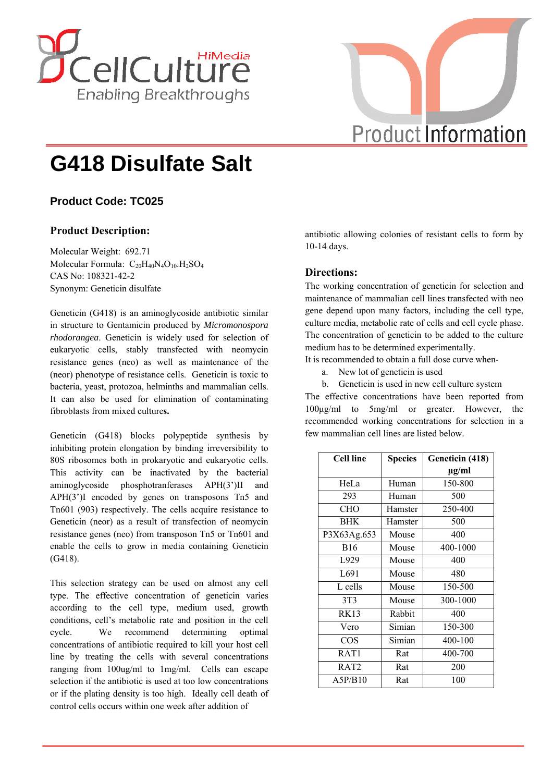



# **G418 Disulfate Salt**

## **Product Code: TC025**

## **Product Description:**

Molecular Weight: 692.71 Molecular Formula:  $C_{20}H_{40}N_4O_{10}.H_2SO_4$ CAS No: 108321-42-2 Synonym: Geneticin disulfate

Geneticin (G418) is an aminoglycoside antibiotic similar in structure to Gentamicin produced by *Micromonospora rhodorangea*. Geneticin is widely used for selection of eukaryotic cells, stably transfected with neomycin resistance genes (neo) as well as maintenance of the (neor) phenotype of resistance cells. Geneticin is toxic to bacteria, yeast, protozoa, helminths and mammalian cells. It can also be used for elimination of contaminating fibroblasts from mixed culture**s.** 

Geneticin (G418) blocks polypeptide synthesis by inhibiting protein elongation by binding irreversibility to 80S ribosomes both in prokaryotic and eukaryotic cells. This activity can be inactivated by the bacterial aminoglycoside phosphotranferases APH(3')II and APH(3')I encoded by genes on transposons Tn5 and Tn601 (903) respectively. The cells acquire resistance to Geneticin (neor) as a result of transfection of neomycin resistance genes (neo) from transposon Tn5 or Tn601 and enable the cells to grow in media containing Geneticin (G418).

This selection strategy can be used on almost any cell type. The effective concentration of geneticin varies according to the cell type, medium used, growth conditions, cell's metabolic rate and position in the cell cycle. We recommend determining optimal concentrations of antibiotic required to kill your host cell line by treating the cells with several concentrations ranging from 100ug/ml to 1mg/ml. Cells can escape selection if the antibiotic is used at too low concentrations or if the plating density is too high. Ideally cell death of control cells occurs within one week after addition of

antibiotic allowing colonies of resistant cells to form by 10-14 days.

### **Directions:**

The working concentration of geneticin for selection and maintenance of mammalian cell lines transfected with neo gene depend upon many factors, including the cell type, culture media, metabolic rate of cells and cell cycle phase. The concentration of geneticin to be added to the culture medium has to be determined experimentally.

It is recommended to obtain a full dose curve when-

- a. New lot of geneticin is used
- b. Geneticin is used in new cell culture system

The effective concentrations have been reported from 100μg/ml to 5mg/ml or greater. However, the recommended working concentrations for selection in a few mammalian cell lines are listed below.

| <b>Cell line</b> | <b>Species</b> | Geneticin (418) |
|------------------|----------------|-----------------|
|                  |                | $\mu$ g/ml      |
| HeLa             | Human          | 150-800         |
| 293              | Human          | 500             |
| CHO              | Hamster        | 250-400         |
| <b>BHK</b>       | Hamster        | 500             |
| P3X63Ag.653      | Mouse          | 400             |
| <b>B</b> 16      | Mouse          | 400-1000        |
| L929             | Mouse          | 400             |
| L691             | Mouse          | 480             |
| L cells          | Mouse          | 150-500         |
| 3T <sub>3</sub>  | Mouse          | 300-1000        |
| RK13             | Rabbit         | 400             |
| Vero             | Simian         | 150-300         |
| <b>COS</b>       | Simian         | 400-100         |
| RAT <sub>1</sub> | Rat            | 400-700         |
| RAT <sub>2</sub> | Rat            | 200             |
| A5P/B10          | Rat            | 100             |